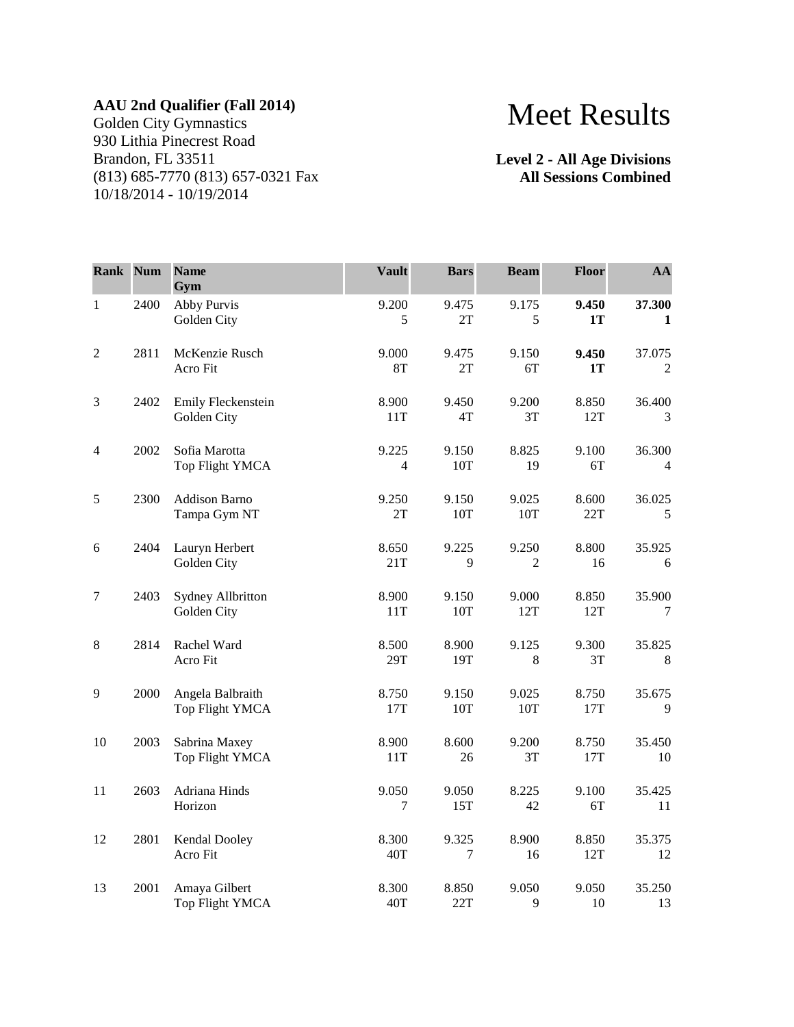## **AAU 2nd Qualifier (Fall 2014)**

Golden City Gymnastics 930 Lithia Pinecrest Road Brandon, FL 33511 (813) 685-7770 (813) 657-0321 Fax 10/18/2014 - 10/19/2014

## Meet Results

**Level 2 - All Age Divisions All Sessions Combined**

| Rank Num       |      | <b>Name</b><br>Gym                      | <b>Vault</b>            | <b>Bars</b>     | <b>Beam</b>  | Floor        | AA                     |
|----------------|------|-----------------------------------------|-------------------------|-----------------|--------------|--------------|------------------------|
| $\mathbf{1}$   | 2400 | Abby Purvis<br>Golden City              | 9.200<br>5              | 9.475<br>2T     | 9.175<br>5   | 9.450<br>1T  | 37.300<br>$\mathbf{1}$ |
| $\overline{2}$ | 2811 | McKenzie Rusch<br>Acro Fit              | 9.000<br><b>8T</b>      | 9.475<br>2T     | 9.150<br>6T  | 9.450<br>1T  | 37.075<br>2            |
| $\mathfrak{Z}$ | 2402 | Emily Fleckenstein<br>Golden City       | 8.900<br>11T            | 9.450<br>4T     | 9.200<br>3T  | 8.850<br>12T | 36.400<br>3            |
| 4              | 2002 | Sofia Marotta<br>Top Flight YMCA        | 9.225<br>$\overline{4}$ | 9.150<br>10T    | 8.825<br>19  | 9.100<br>6T  | 36.300<br>4            |
| 5              | 2300 | Addison Barno<br>Tampa Gym NT           | 9.250<br>2T             | 9.150<br>10T    | 9.025<br>10T | 8.600<br>22T | 36.025<br>5            |
| 6              | 2404 | Lauryn Herbert<br>Golden City           | 8.650<br>21T            | 9.225<br>9      | 9.250<br>2   | 8.800<br>16  | 35.925<br>6            |
| $\tau$         | 2403 | <b>Sydney Allbritton</b><br>Golden City | 8.900<br>11T            | 9.150<br>10T    | 9.000<br>12T | 8.850<br>12T | 35.900<br>7            |
| $\,8\,$        | 2814 | Rachel Ward<br>Acro Fit                 | 8.500<br>29T            | 8.900<br>19T    | 9.125<br>8   | 9.300<br>3T  | 35.825<br>8            |
| 9              | 2000 | Angela Balbraith<br>Top Flight YMCA     | 8.750<br>17T            | 9.150<br>10T    | 9.025<br>10T | 8.750<br>17T | 35.675<br>9            |
| 10             | 2003 | Sabrina Maxey<br>Top Flight YMCA        | 8.900<br>11T            | 8.600<br>26     | 9.200<br>3T  | 8.750<br>17T | 35.450<br>10           |
| 11             | 2603 | Adriana Hinds<br>Horizon                | 9.050<br>7              | 9.050<br>15T    | 8.225<br>42  | 9.100<br>6T  | 35.425<br>11           |
| 12             | 2801 | Kendal Dooley<br>Acro Fit               | 8.300<br>40T            | 9.325<br>$\tau$ | 8.900<br>16  | 8.850<br>12T | 35.375<br>12           |
| 13             | 2001 | Amaya Gilbert<br><b>Top Flight YMCA</b> | 8.300<br>40T            | 8.850<br>22T    | 9.050<br>9   | 9.050<br>10  | 35.250<br>13           |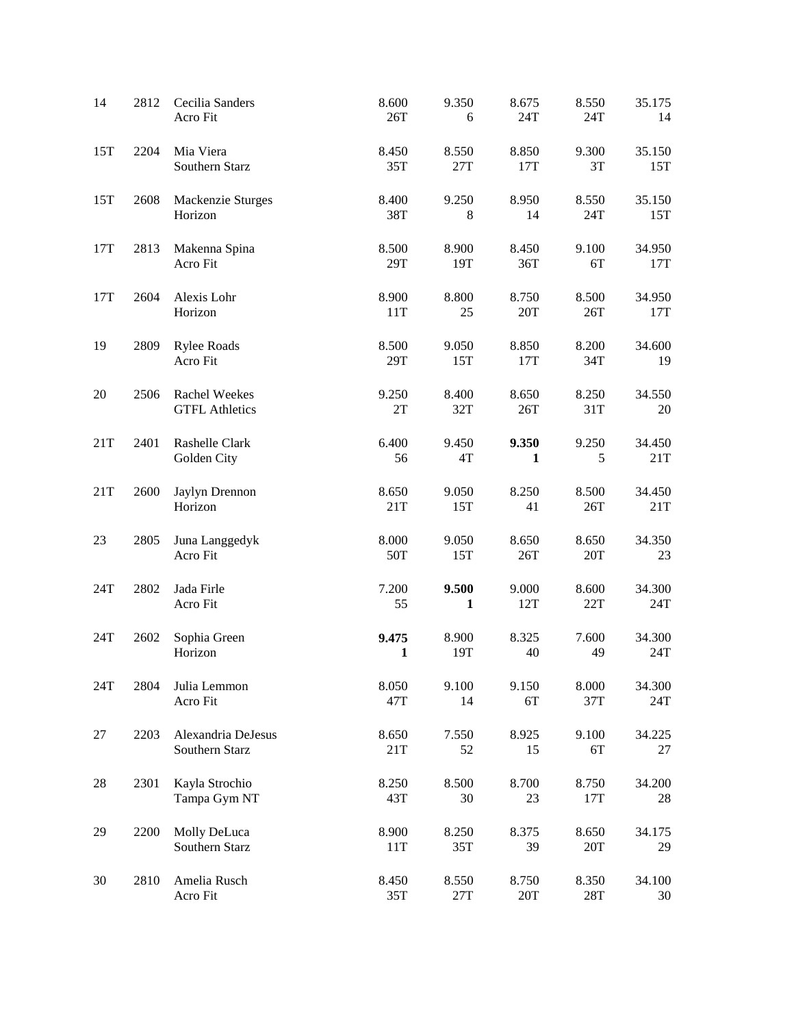| 14  | 2812 | Cecilia Sanders<br>Acro Fit            | 8.600<br>26T          | 9.350<br>6              | 8.675<br>24T | 8.550<br>24T            | 35.175<br>14  |
|-----|------|----------------------------------------|-----------------------|-------------------------|--------------|-------------------------|---------------|
| 15T | 2204 | Mia Viera<br>Southern Starz            | 8.450<br>35T          | 8.550<br>27T            | 8.850<br>17T | 9.300<br>3T             | 35.150<br>15T |
| 15T | 2608 | Mackenzie Sturges<br>Horizon           | 8.400<br>38T          | 9.250<br>8              | 8.950<br>14  | 8.550<br>24T            | 35.150<br>15T |
| 17T | 2813 | Makenna Spina<br>Acro Fit              | 8.500<br>29T          | 8.900<br>19T            | 8.450<br>36T | 9.100<br>6T             | 34.950<br>17T |
| 17T | 2604 | Alexis Lohr<br>Horizon                 | 8.900<br>11T          | 8.800<br>25             | 8.750<br>20T | 8.500<br>26T            | 34.950<br>17T |
| 19  | 2809 | <b>Rylee Roads</b><br>Acro Fit         | 8.500<br>29T          | 9.050<br>15T            | 8.850<br>17T | 8.200<br>34T            | 34.600<br>19  |
| 20  | 2506 | Rachel Weekes<br><b>GTFL Athletics</b> | 9.250<br>2T           | 8.400<br>32T            | 8.650<br>26T | 8.250<br>31T            | 34.550<br>20  |
| 21T | 2401 | Rashelle Clark<br>Golden City          | 6.400<br>56           | 9.450<br>4T             | 9.350<br>1   | 9.250<br>5              | 34.450<br>21T |
| 21T | 2600 | Jaylyn Drennon<br>Horizon              | 8.650<br>21T          | 9.050<br>15T            | 8.250<br>41  | 8.500<br>26T            | 34.450<br>21T |
| 23  | 2805 | Juna Langgedyk<br>Acro Fit             | 8.000<br>50T          | 9.050<br>15T            | 8.650<br>26T | 8.650<br>20T            | 34.350<br>23  |
| 24T | 2802 | Jada Firle<br>Acro Fit                 | 7.200<br>55           | 9.500<br>1              | 9.000<br>12T | 8.600<br>22T            | 34.300<br>24T |
| 24T | 2602 | Sophia Green<br>Horizon                | 9.475<br>$\mathbf{1}$ | 8.900<br>19T            | 8.325<br>40  | 7.600<br>49             | 34.300<br>24T |
| 24T | 2804 | Julia Lemmon<br>Acro Fit               | 8.050<br>47T          | 9.100<br>14             | 9.150<br>6T  | 8.000<br>37T            | 34.300<br>24T |
| 27  | 2203 | Alexandria DeJesus<br>Southern Starz   | 8.650<br>21T          | 7.550<br>52             | 8.925<br>15  | 9.100<br>6T             | 34.225<br>27  |
| 28  | 2301 | Kayla Strochio<br>Tampa Gym NT         | 8.250<br>43T          | 8.500<br>30             | 8.700<br>23  | 8.750<br>17T            | 34.200<br>28  |
| 29  | 2200 | Molly DeLuca<br>Southern Starz         | 8.900<br>11T          | 8.250<br>35T            | 8.375<br>39  | 8.650<br>20T            | 34.175<br>29  |
| 30  | 2810 | Amelia Rusch<br>Acro Fit               | 8.450<br>35T          | 8.550<br>$27\mathrm{T}$ | 8.750<br>20T | 8.350<br>$28\mathrm{T}$ | 34.100<br>30  |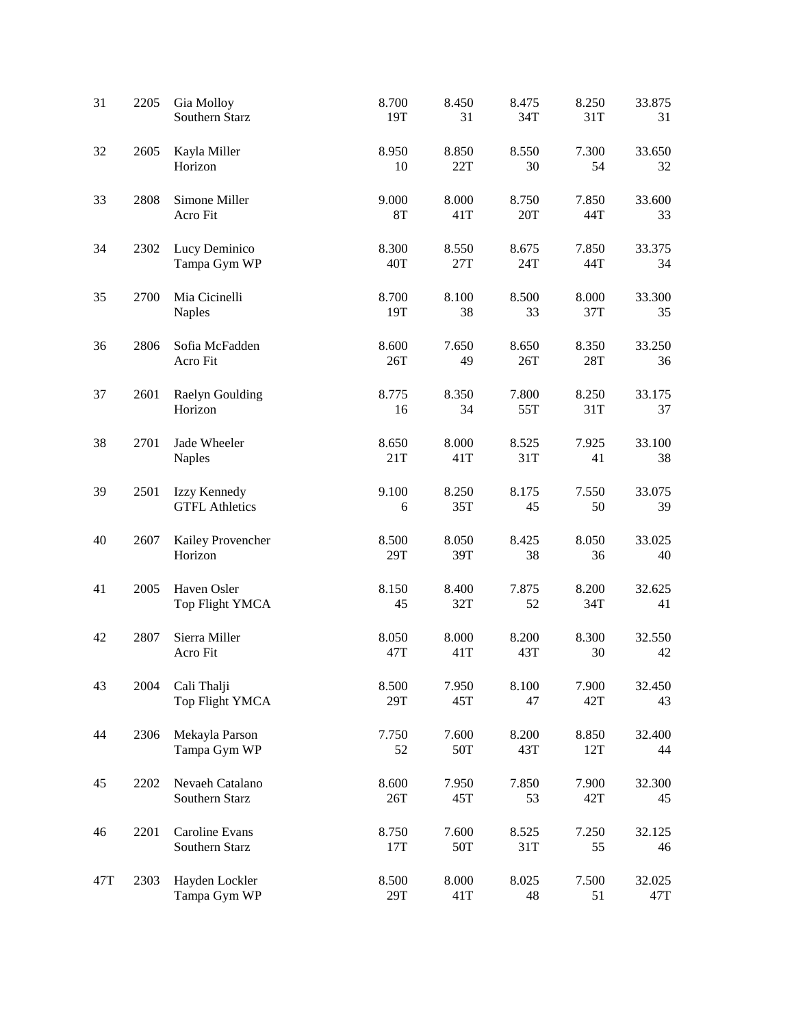| 31  | 2205 | Gia Molloy<br>Southern Starz          | 8.700<br>19T       | 8.450<br>31  | 8.475<br>34T         | 8.250<br>31T | 33.875<br>31  |
|-----|------|---------------------------------------|--------------------|--------------|----------------------|--------------|---------------|
| 32  | 2605 | Kayla Miller<br>Horizon               | 8.950<br>10        | 8.850<br>22T | 8.550<br>30          | 7.300<br>54  | 33.650<br>32  |
| 33  | 2808 | Simone Miller<br>Acro Fit             | 9.000<br><b>8T</b> | 8.000<br>41T | 8.750<br>20T         | 7.850<br>44T | 33.600<br>33  |
| 34  | 2302 | Lucy Deminico<br>Tampa Gym WP         | 8.300<br>40T       | 8.550<br>27T | 8.675<br>24T         | 7.850<br>44T | 33.375<br>34  |
| 35  | 2700 | Mia Cicinelli<br><b>Naples</b>        | 8.700<br>19T       | 8.100<br>38  | 8.500<br>33          | 8.000<br>37T | 33.300<br>35  |
| 36  | 2806 | Sofia McFadden<br>Acro Fit            | 8.600<br>26T       | 7.650<br>49  | 8.650<br>26T         | 8.350<br>28T | 33.250<br>36  |
| 37  | 2601 | Raelyn Goulding<br>Horizon            | 8.775<br>16        | 8.350<br>34  | 7.800<br>55T         | 8.250<br>31T | 33.175<br>37  |
| 38  | 2701 | Jade Wheeler<br><b>Naples</b>         | 8.650<br>21T       | 8.000<br>41T | 8.525<br>31T         | 7.925<br>41  | 33.100<br>38  |
| 39  | 2501 | Izzy Kennedy<br><b>GTFL Athletics</b> | 9.100<br>6         | 8.250<br>35T | 8.175<br>45          | 7.550<br>50  | 33.075<br>39  |
| 40  | 2607 | Kailey Provencher<br>Horizon          | 8.500<br>29T       | 8.050<br>39T | 8.425<br>38          | 8.050<br>36  | 33.025<br>40  |
| 41  | 2005 | Haven Osler<br>Top Flight YMCA        | 8.150<br>45        | 8.400<br>32T | 7.875<br>52          | 8.200<br>34T | 32.625<br>41  |
| 42  | 2807 | Sierra Miller<br>Acro Fit             | 8.050<br>47T       | 8.000<br>41T | 8.200<br>43T         | 8.300<br>30  | 32.550<br>42  |
| 43  | 2004 | Cali Thalji<br>Top Flight YMCA        | 8.500<br>29T       | 7.950<br>45T | 8.100<br>47          | 7.900<br>42T | 32.450<br>43  |
| 44  | 2306 | Mekayla Parson<br>Tampa Gym WP        | 7.750<br>52        | 7.600<br>50T | 8.200<br>43T         | 8.850<br>12T | 32.400<br>44  |
| 45  | 2202 | Nevaeh Catalano<br>Southern Starz     | 8.600<br>26T       | 7.950<br>45T | 7.850<br>53          | 7.900<br>42T | 32.300<br>45  |
| 46  | 2201 | Caroline Evans<br>Southern Starz      | 8.750<br>17T       | 7.600<br>50T | 8.525<br>31T         | 7.250<br>55  | 32.125<br>46  |
| 47T | 2303 | Hayden Lockler<br>Tampa Gym WP        | 8.500<br>29T       | 8.000<br>41T | 8.025<br>$\sqrt{48}$ | 7.500<br>51  | 32.025<br>47T |